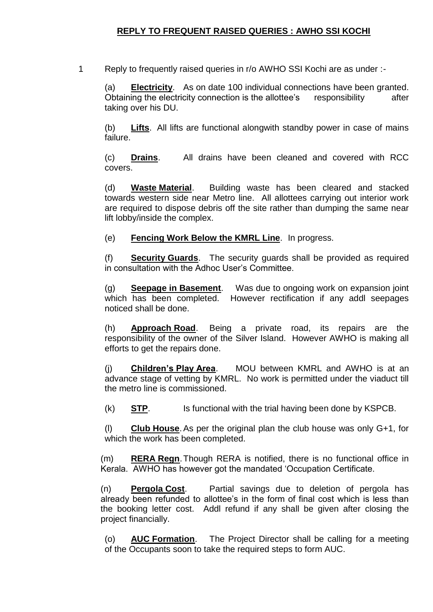## **REPLY TO FREQUENT RAISED QUERIES : AWHO SSI KOCHI**

1 Reply to frequently raised queries in r/o AWHO SSI Kochi are as under :-

(a) **Electricity**. As on date 100 individual connections have been granted. Obtaining the electricity connection is the allottee's responsibility after taking over his DU.

(b) **Lifts**. All lifts are functional alongwith standby power in case of mains failure.

(c) **Drains**. All drains have been cleaned and covered with RCC covers.

(d) **Waste Material**. Building waste has been cleared and stacked towards western side near Metro line. All allottees carrying out interior work are required to dispose debris off the site rather than dumping the same near lift lobby/inside the complex.

(e) **Fencing Work Below the KMRL Line**. In progress.

(f) **Security Guards**. The security guards shall be provided as required in consultation with the Adhoc User's Committee.

(g) **Seepage in Basement**. Was due to ongoing work on expansion joint which has been completed. However rectification if any addl seepages noticed shall be done.

(h) **Approach Road**. Being a private road, its repairs are the responsibility of the owner of the Silver Island. However AWHO is making all efforts to get the repairs done.

(j) **Children's Play Area**. MOU between KMRL and AWHO is at an advance stage of vetting by KMRL. No work is permitted under the viaduct till the metro line is commissioned.

(k) **STP**. Is functional with the trial having been done by KSPCB.

(l) **Club House**.As per the original plan the club house was only G+1, for which the work has been completed.

(m) **RERA Regn**.Though RERA is notified, there is no functional office in Kerala. AWHO has however got the mandated 'Occupation Certificate.

(n) **Pergola Cost**. Partial savings due to deletion of pergola has already been refunded to allottee's in the form of final cost which is less than the booking letter cost. Addl refund if any shall be given after closing the project financially.

(o) **AUC Formation**. The Project Director shall be calling for a meeting of the Occupants soon to take the required steps to form AUC.